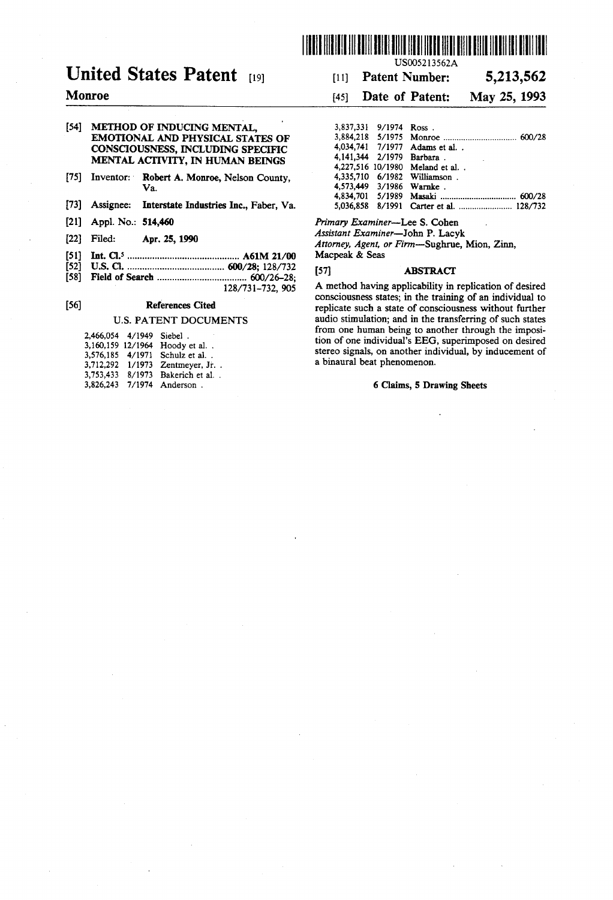

# United States Patent [19] 11] Patent Number:

## [54] METHOD OF INDUCING MENTAL, EMOTIONAL AND PHYSICAL STATES OF CONSCIOUSNESS, INCLUDING SPECIFIC<br>MENTAL ACTIVITY, IN HUMAN BEINGS

- 
- 73) Assignee: Interstate Industries Inc., Faber, Va. 5,036,858 8/991 Carter et al. ........................ 128/732
- 
- 
- 51) Int. Cl.............................................. A61M 21/00 Macpeak & Seas
- 52 U.S. C. .............. ... 600/28; 128/732 TRA
- 58) Field of Search .................................... 600/26-28; 57 ABSTRACT

| 2.466.054 4/1949 Siebel. | 3,160,159 12/1964 Hoody et al. .<br>3,576,185 4/1971 Schulz et al. .<br>3,712,292 1/1973 Zentmeyer, Jr. | from one numan being to another unough<br>tion of one individual's EEG, superimpos<br>stereo signals, on another individual, by i<br>a binaural beat phenomenon. |
|--------------------------|---------------------------------------------------------------------------------------------------------|------------------------------------------------------------------------------------------------------------------------------------------------------------------|
|                          | 3,753,433 8/1973 Bakerich et al<br>3,826,243 7/1974 Anderson.                                           | 6 Claims, 5 Drawing Sheets                                                                                                                                       |

## Monroe [45] Date of Patent: May 25, 1993

|  |                                  | 54 METHOD OF INDUCING MENTAL,                      | 3,837,331 9/1974 Ross. |                                             |
|--|----------------------------------|----------------------------------------------------|------------------------|---------------------------------------------|
|  |                                  | <b>EMOTIONAL AND PHYSICAL STATES OF</b>            |                        |                                             |
|  |                                  | CONSCIOUSNESS, INCLUDING SPECIFIC                  |                        | 4,034,741 7/1977 Adams et al                |
|  | MENTAL ACTIVITY. IN HUMAN BEINGS |                                                    |                        | 4,141,344 2/1979 Barbara.                   |
|  |                                  |                                                    |                        | 4,227,516 10/1980 Meland et al              |
|  |                                  | 75] Inventor: Robert A. Monroe, Nelson County,     |                        | 4,335,710 6/1982 Williamson.                |
|  |                                  | Va.                                                |                        | 4,573,449 3/1986 Warnke                     |
|  |                                  |                                                    |                        |                                             |
|  |                                  | 73] Assionae: Interstate Industries Inc. Echos Vo. |                        | $2026.050$ $0.1001$ $0.410$ $1$<br>120.7732 |

[21] Appl. No.:  $\frac{514,460}{4}$  Primary Examiner-Lee S. Cohen<br>
Assistant Examiner-John P. Lacyk

[22] Filed: Apr. 25, 1990 Assistant Examiner-John P. Lacyk 22] Filed: Apr. 25, 1990

A method having applicability in replication of desired consciousness states; in the training of an individual to [56] References Cited replicate such a state of consciousness without further<br>U.S. PATENT DOCUMENTS audio stimulation; and in the transferring of such states audio stimulation; and in the transferring of such states from one human being to another through the imposition of one individual's EEG, superimposed on desired. stereo signals, on another individual, by inducement of a binaural beat phenomenon.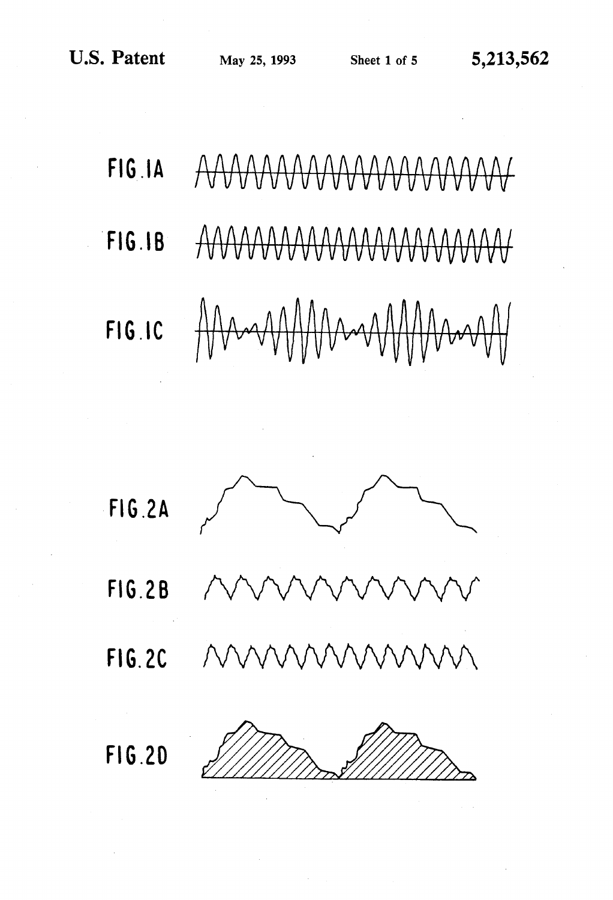FIG.IA AAAAAAAAAAAAAAAAAAAAF

FIG.IB AVVVVVVVVVVVVVVVVVV

FIG.IC 
$$
\text{H}\text{W}\text{W}\text{W}\text{W}\text{W}\text{W}\text{W}\text{W}
$$

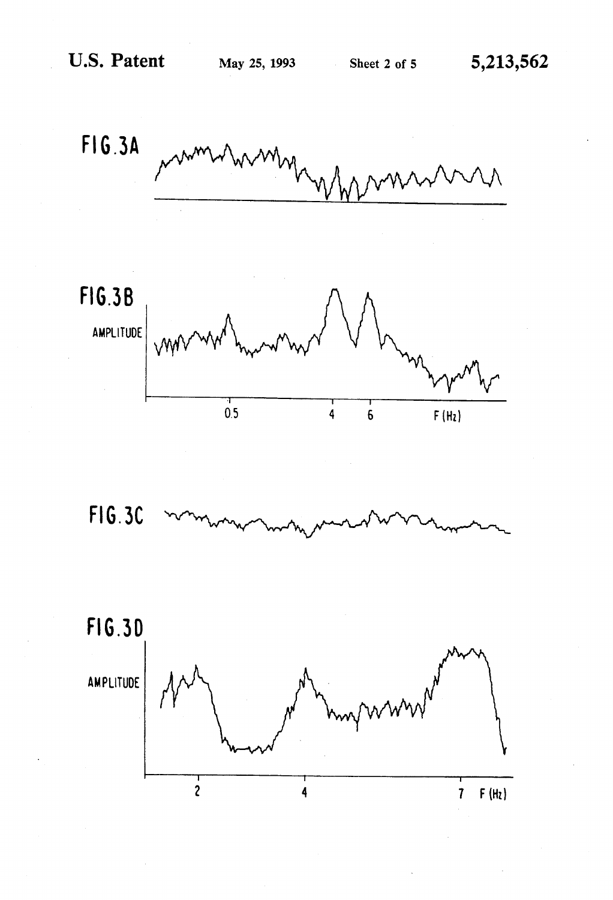





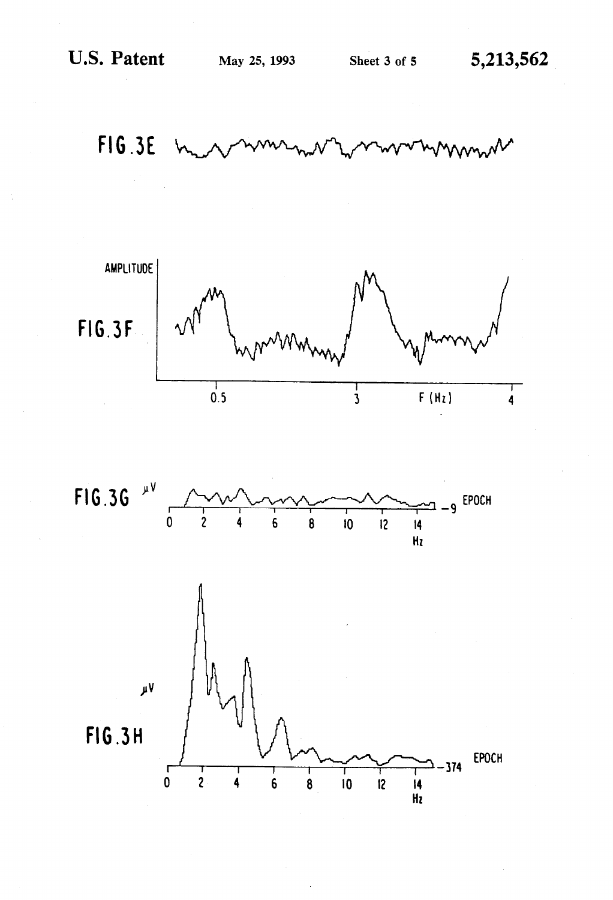FIG.3E man winnen wywwwmmm





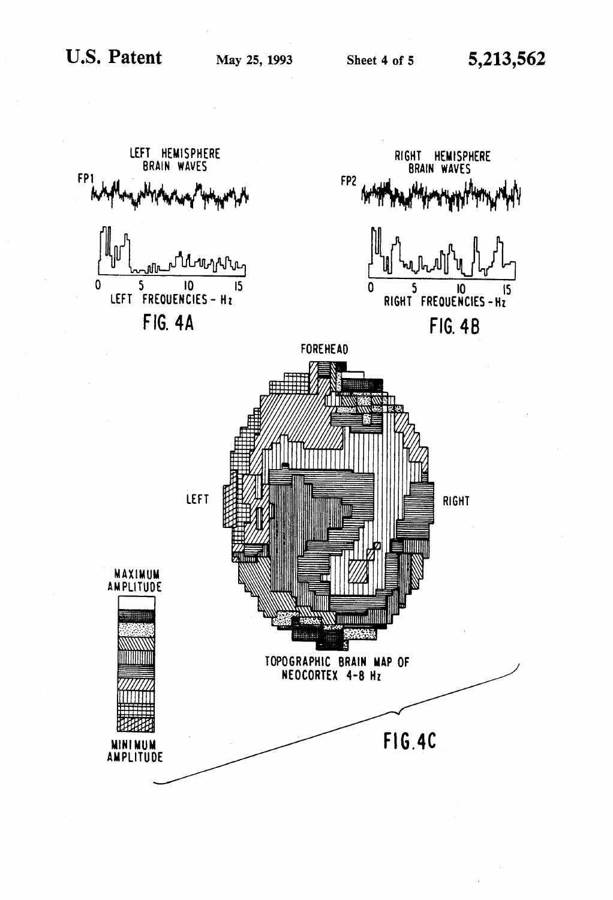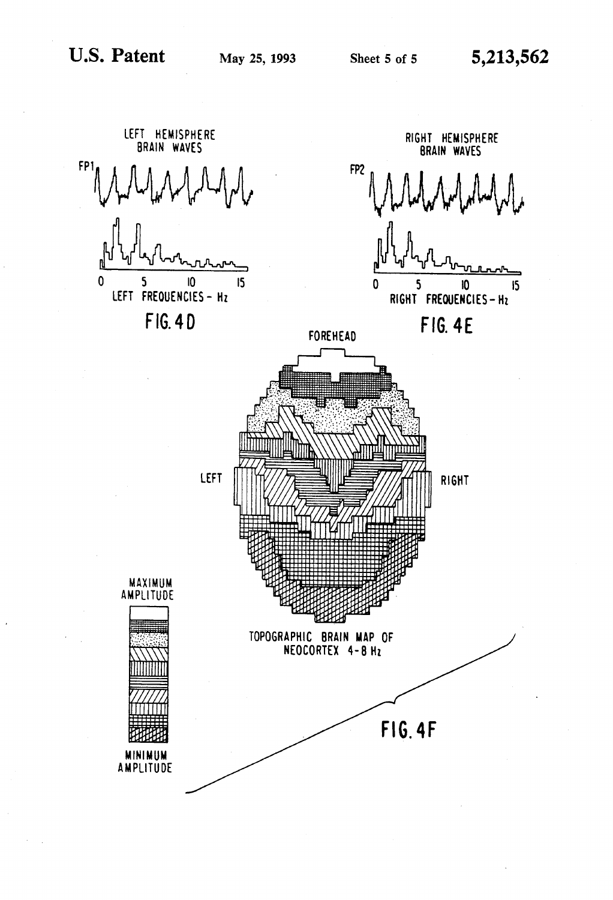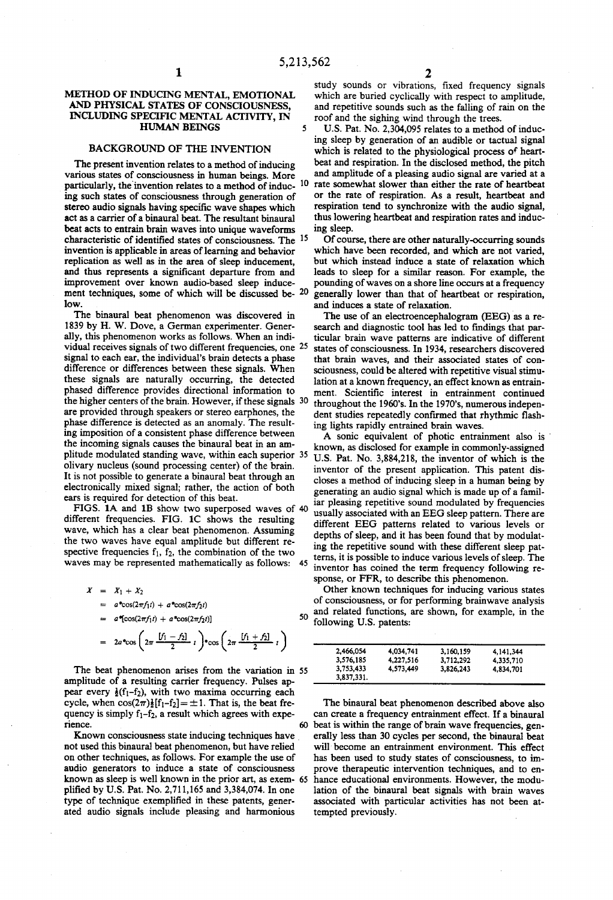5

## METHOD OF INDUCING MENTAL, EMOTIONAL AND PHYSICAL STATES OF CONSCIOUSNESS, INCLUDING SPECIFIC MENTAL ACTIVITY, IN HUMAN BEINGS

## BACKGROUND OF THE INVENTION

The present invention relates to a method of inducing various states of consciousness in human beings. More particularly, the invention relates to a method of induc ing such states of consciousness through generation of stereo audio signals having specific wave shapes which act as a carrier of a binaural beat. The resultant binaural beat acts to entrain brain waves into unique waveforms characteristic of identified states of consciousness. The 15 invention is applicable in areas of learning and behavior and thus represents a significant departure from and improvement over known audio-based sleep induce ment techniques, some of which will be discussed be low. 10

The binaural beat phenomenon was discovered in 1839 by H. W. Dove, a German experimenter. Gener ally, this phenomenon works as follows. When an indi vidual receives signals of two different frequencies, one 25 signal to each ear, the individual's brain detects a phase difference or differences between these signals. When these signals are naturally occurring, the detected phased difference provides directional information to the higher centers of the brain. However, if these signals 30 are provided through speakers or stereo earphones, the phase difference is detected as an anomaly. The result ing imposition of a consistent phase difference between the incoming signals causes the binaural beat in an am plitude modulated standing wave, with superior of the brain. It is not possible to generate a binaural beat through an electronically mixed signal; rather, the action of both ears is required for detection of this beat. plitude modulated standing wave, within each superior 35

FIGS. 1A and 1B show two superposed waves of  $40$ different frequencies. FIG. 1C shows the resulting wave, which has a clear beat phenomenon. Assuming the two waves have equal amplitude but different re spective frequencies  $f_1$ ,  $f_2$ , the combination of the two waves may be represented mathematically as follows: 45

$$
X = X_1 + X_2
$$
  
=  $a^* \cos(2\pi f_1 t) + a^* \cos(2\pi f_2 t)$   
=  $a^* [\cos(2\pi f_1 t) + a^* \cos(2\pi f_2 t)]$ 

$$
= 2a*\cos\left(2\pi\frac{[f_1-f_2]}{2}t\right)*\cos\left(2\pi\frac{[f_1+f_2]}{2}t\right)
$$

The beat phenomenon arises from the variation in 55 amplitude of a resulting carrier frequency. Pulses ap pear every  $\frac{1}{2}(f_1-f_2)$ , with two maxima occurring each cycle, when  $\cos(2\pi)\frac{1}{2}[f_1-f_2]=\pm 1$ . That is, the beat frequency is simply  $f_1-f_2$ , a result which agrees with experience.

Known consciousness state inducing techniques have not used this binaural beat phenomenon, but have relied on other techniques, as follows. For example the use of audio generators to induce a state of consciousness known as sleep is well known in the prior art, as exem- $\frac{65}{1000}$ plified by U.S. Pat. No. 2,711,165 and 3,384,074. In one type of technique exemplified in these patents, gener ated audio signals include pleasing and harmonious

study sounds or vibrations, fixed frequency signals which are buried cyclically with respect to amplitude, and repetitive sounds such as the falling of rain on the roof and the sighing wind through the trees.

U.S. Pat. No. 2,304,095 relates to a method of inducing sleep by generation of an audible or tactual signal which is related to the physiological process of heart-<br>beat and respiration. In the disclosed method, the pitch and amplitude of a pleasing audio signal are varied at a rate somewhat slower than either the rate of heartbeat or the rate of respiration. As a result, heartbeat and respiration tend to synchronize with the audio signal, thus lowering heartbeat and respiration rates and induc ing sleep.

Of course, there are other naturally-occurring sounds which have been recorded, and which are not varied, but which instead induce a state of relaxation which leads to sleep for a similar reason. For example, the pounding of waves on a shore line occurs at a frequency generally lower than that of heartbeat or respiration, and induces a state of relaxation.

The use of an electroencephalogram (EEG) as a re search and diagnostic tool has led to findings that par ticular brain wave patterns are indicative of different states of consciousness. In 1934, researchers discovered that brain waves, and their associated states of con sciousness, could be altered with repetitive visual stimu lation at a known frequency, an effect known as entrain ment. Scientific interest in entrainment continued throughout the 1960's. In the 1970's, numerous independent studies repeatedly confirmed that rhythmic flashing lights rapidly entrained brain waves.

A sonic equivalent of photic entrainment also is known, as disclosed for example in commonly-assigned U.S. Pat. No. 3,884,218, the inventor of which is the inventor of the present application. This patent discloses a method of inducing sleep in a human being by generating an audio signal which is made up of a familiar pleasing repetitive sound modulated by frequencies usually associated with an EEG sleep pattern. There are different EEG patterns related to various levels or depths of sleep, and it has been found that by modulat ing the repetitive sound with these different sleep pat terns, it is possible to induce various levels of sleep. The inventor has coined the term frequency following response, or FFR, to describe this phenomenon.

50 and related functions, Other known techniques for inducing various states of consciousness, or for performing brainwave analysis and related functions, are shown, for example, in the

| 2.466.054  | 4.034.741 | 3.160.159 | 4.141.344 |
|------------|-----------|-----------|-----------|
| 3.576.185  | 4.227.516 | 3,712,292 | 4.335.710 |
| 3,753,433  | 4,573,449 | 3,826,243 | 4.834,701 |
| 3,837,331. |           |           |           |

60 beat is within the range of brain wave frequencies, gen-The binaural beat phenomenon described above also can create a frequency entrainment effect. If a binaural erally less than 30 cycles per second, the binaural beat will become an entrainment environment. This effect has been used to study states of consciousness, to im prove therapeutic intervention techniques, and to en hance educational environments. However, the modu lation of the binaural beat signals with brain waves associated with particular activities has not been at tempted previously.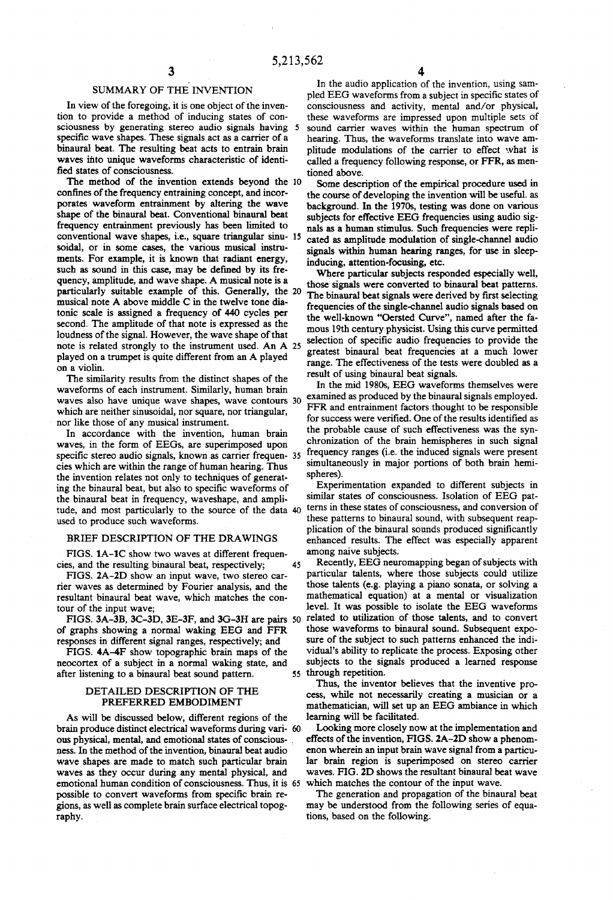## SUMMARY OF THE INVENTION

In view of the foregoing, it is one object of the inven tion to provide a method of inducing states of con specific wave shapes. These signals act as a carrier of a binaural beat. The resulting beat acts to entrain brain waves into unique waveforms characteristic of identi fied states of consciousness. sciousness by generating stereo audio signals having 5

The method of the invention extends beyond the 10 confines of the frequency entraining concept, and incor porates waveform entrainment by altering the wave shape of the binaural beat. Conventional binaural beat frequency entrainment previously has been limited to conventional wave shapes, i.e., square triangular sinu- 15 soidal, or in some cases, the various musical instruments. For example, it is known that radiant energy, such as sound in this case, may be defined by its frequency, amplitude, and wave shape. A musical note is a particularly suitable example of this. Generally, the 20 musical note A above middle C in the twelve tone dia tonic scale is assigned a frequency of 440 cycles per second. The amplitude of that note is expressed as the loudness of the signal. However, the wave shape of that note is related strongly to the instrument used. An A 25 played on a trumpet is quite different from an A played on a violin.

The similarity results from the distinct shapes of the waveforms of each instrument. Similarly, human brain waves also have unique wave shapes, wave contours 30 which are neither sinusoidal, nor square, nor triangular, nor like those of any musical instrument.

In accordance with the invention, human brain waves, in the form of EEGs, are superimposed upon waves, in the form of EEGs, are superimposed upon specific stereo audio signals, known as carrier frequencies which are within the range of human hearing. Thus the invention relates not only to techniques of generating the binaural beat, but also to specific waveforms of the binaural beat in frequency, waveshape, and amplithe binaural beat in frequency, waveshape, and ampli tude, and most particularly to the source of the data 40 terms in these states of consciousness, and conversion of used to produce such waveforms. 35

### BRIEF DESCRIPTION OF THE DRAWINGS

FIGS. 1A-1C show two waves at different frequencies, and the resulting binaural beat, respectively; 45

FIGS. 2A-2D show an input wave, two stereo car rier waves as determined by Fourier analysis, and the resultant binaural beat wave, which matches the con tour of the input wave;

of graphs showing a normal waking EEG and FFR responses in different signal ranges, respectively; and FIGS. 3A-3B, 3C-3D, 3E-3F, and 3G-3H are pairs 50

FIGS. 4A-4F show topographic brain maps of the neocortex of a subject in a normal waking state, and after listening to a binaural beat sound pattern.

### DETALED DESCRIPTION OF THE PREFERRED EMBODIMENT

As will be discussed below, different regions of the brain produce distinct electrical waveforms during vari- 60 ous physical, mental, and emotional states of conscious ness. In the method of the invention, binaural beat audio wave shapes are made to match such particular brain waves as they occur during any mental physical, and emotional human condition of consciousness. Thus, it is 65 possible to convert waveforms from specific brain re gions, as well as complete brain surface electrical topog raphy.

In the audio application of the invention, using sampled EEG waveforms from a subject in specific states of consciousness and activity, mental and/or physical, these waveforms are impressed upon multiple sets of sound carrier waves within the human spectrum of hearing. Thus, the waveforms translate into wave an plitude modulations of the carrier to effect what is called a frequency following response, or FFR, as men tioned above.

Some description of the empirical procedure used in the course of developing the invention will be useful. as background. In the 1970s, testing was done on various subjects for effective EEG frequencies using audio signals as a human stimulus. Such frequencies were replicated as amplitude modulation of single-channel audio signals within human hearing ranges, for use in sleep-inducing, attention-focusing, etc.

Where particular subjects responded especially well, those signals were converted to binaural beat patterns. The binaural beat signals were derived by first selecting frequencies of the single-channel audio signals based on the well-known "Oersted Curve", named after the fa-<br>mous 19th century physicist. Using this curve permitted selection of specific audio frequencies to provide the greatest binaural beat frequencies at a much lower range. The effectiveness of the tests were doubled as a result of using binaural beat signals.

In the mid 1980s, EEG waveforms themselves were examined as produced by the binaural signals employed. FFR and entrainment factors thought to be responsible for success were verified. One of the results identified as the probable cause of such effectiveness was the syn-<br>chronization of the brain hemispheres in such signal<br>frequency ranges (i.e. the induced signals were present<br>simultaneously in major portions of both brain hemispheres).

Experimentation expanded to different subjects in similar states of consciousness. Isolation of EEG pat these patterns to binaural sound, with subsequent reap plication of the binaural sounds produced significantly enhanced results. The effect was especially apparent

55 through repetition. Recently, EEG neuromapping began of subjects with particular talents, where those subjects could utilize those talents (e.g. playing a piano sonata, or solving a mathematical equation) at a mental or visualization level. It was possible to isolate the EEG waveforms related to utilization of those talents, and to convert those waveforms to binaural sound. Subsequent expo sure of the subject to such patterns enhanced the indi vidual's ability to replicate the process. Exposing other subjects to the signals produced a learned response

Thus, the inventor believes that the inventive pro cess, while not necessarily creating a musician or a mathematician, will set up an EEG ambiance in which learning will be facilitated.

Looking more closely now at the implementation and effects of the invention, FIGS. 2A-2D show a phenom-<br>enon wherein an input brain wave signal from a particular brain region is superimposed on stereo carrier waves, FIG. 2D shows the resultant binaural beat wave which matches the contour of the input wave.

The generation and propagation of the binaural beat may be understood from the following series of equations, based on the following.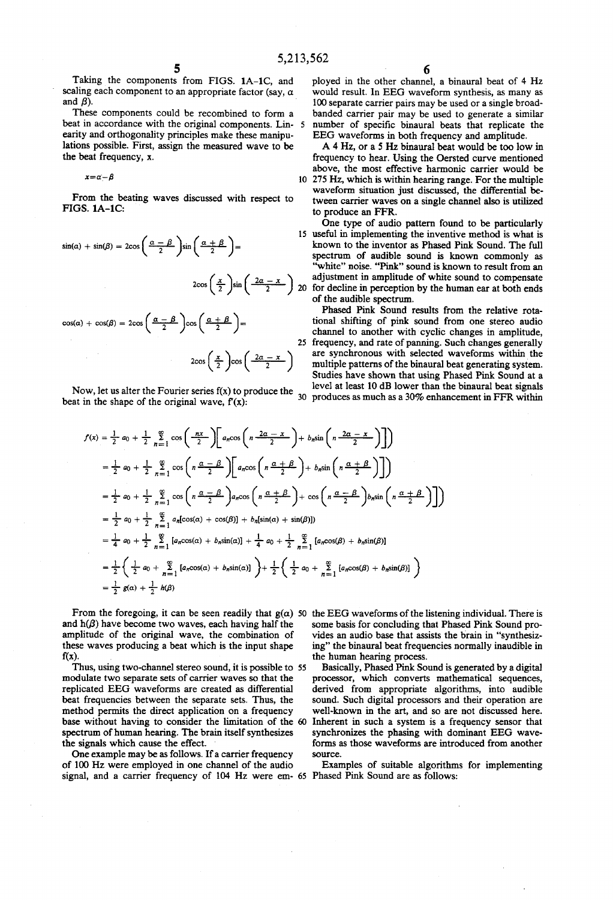Taking the components from FIGS. 1A-1C, and scaling each component to an appropriate factor (say,  $\alpha$ and  $\beta$ ).

These components could be recombined to form a earity and orthogonality principles make these manipulations possible. First, assign the measured wave to be the beat frequency, x. beat in accordance with the original components. Lin- 5

$$
x=\alpha-\beta
$$

From the beating waves discussed with respect to FIGS. 1A-1C:

$$
\sin(\alpha) + \sin(\beta) = 2\cos\left(\frac{\alpha - \beta}{2}\right)\sin\left(\frac{\alpha + \beta}{2}\right) =
$$
  

$$
2\cos\left(\frac{x}{2}\right)\sin\left(\frac{2a - x}{2}\right) =
$$
  

$$
\cos(\alpha) + \cos(\beta) = 2\cos\left(\frac{\alpha - \beta}{2}\right)\cos\left(\frac{\alpha + \beta}{2}\right) =
$$
  

$$
2\cos\left(\frac{x}{2}\right)\cos\left(\frac{2a - x}{2}\right)
$$

Now, let us after the Fourier series  $f(x)$  to produce the Now, let us alter the Fourier series  $f(x)$  to produce the shape of the original wave,  $f'(x)$ :<br>beat in the shape of the original wave,  $f'(x)$ :

ployed in the other channel, a binaural beat of 4 Hz would result. In EEG waveform synthesis, as many as 100 separate carrier pairs may be used or a single broad banded carrier pair may be used to generate a similar number of specific binaural beats that replicate the EEG waveforms in both frequency and amplitude.

10 275 Hz, which is within hearing range. For the multiple A 4 Hz, or a 5 Hz binaural beat would be too low in frequency to hear. Using the Oersted curve mentioned above, the most effective harmonic carrier would be waveform situation just discussed, the differential between carrier waves on a single channel also is utilized

to produce an FFR.<br>One type of audio pattern found to be particularly useful in implementing the inventive method is what is known to the inventor as Phased Pink Sound. The full spectrum of audible sound is known commonly as "white" noise. "Pink" sound is known to result from an adjustment in amplitude of white sound to compensate for decline in perception by the human ear at both ends of the audible spectrum.

Phased Pink Sound results from the relative rota tional shifting of pink sound from one stereo audio<br>channel to another with cyclic changes in amplitude, frequency, and rate of panning. Such changes generally are synchronous with selected waveforms within the multiple patterns of the binaural beat generating system.<br>Studies have shown that using Phased Pink Sound at a level at least 10 dB lower than the binaural beat signals

$$
f(x) = \frac{1}{2} a_0 + \frac{1}{2} \sum_{n=1}^{\infty} \cos\left(\frac{n x}{2}\right) \left[ a_n \cos\left(n \frac{2\alpha - x}{2}\right) + b_n \sin\left(n \frac{2\alpha - x}{2}\right) \right] \right)
$$
  
\n
$$
= \frac{1}{2} a_0 + \frac{1}{2} \sum_{n=1}^{\infty} \cos\left(n \frac{\alpha - \beta}{2}\right) \left[ a_n \cos\left(n \frac{\alpha + \beta}{2}\right) + b_n \sin\left(n \frac{\alpha + \beta}{2}\right) \right] \right)
$$
  
\n
$$
= \frac{1}{2} a_0 + \frac{1}{2} \sum_{n=1}^{\infty} \cos\left(n \frac{\alpha - \beta}{2}\right) a_n \cos\left(n \frac{\alpha + \beta}{2}\right) + \cos\left(n \frac{\alpha - \beta}{2}\right) b_n \sin\left(n \frac{\alpha + \beta}{2}\right) \right]
$$
  
\n
$$
= \frac{1}{2} a_0 + \frac{1}{2} \sum_{n=1}^{\infty} a_n [\cos(\alpha) + \cos(\beta)] + b_n [\sin(\alpha) + \sin(\beta)]
$$
  
\n
$$
= \frac{1}{4} a_0 + \frac{1}{2} \sum_{n=1}^{\infty} \frac{1}{2} [a_n \cos(\alpha) + b_n \sin(\alpha)] + \frac{1}{4} a_0 + \frac{1}{2} \sum_{n=1}^{\infty} \frac{1}{2} [a_n \cos(\beta) + b_n \sin(\beta)]
$$
  
\n
$$
= \frac{1}{2} \left( \frac{1}{2} a_0 + \sum_{n=1}^{\infty} [a_n \cos(\alpha) + b_n \sin(\alpha)] \right) + \frac{1}{2} \left( \frac{1}{2} a_0 + \sum_{n=1}^{\infty} [a_n \cos(\beta) + b_n \sin(\beta)] \right)
$$
  
\n
$$
= \frac{1}{2} g(\alpha) + \frac{1}{2} h(\beta)
$$

and  $h(\beta)$  have become two waves, each having half the amplitude of the original wave, the combination of these waves producing a beat which is the input shape  $f(x)$ .

I has, using two-channel stereo sound, it is possible to 55 modulate two separate sets of carrier waves so that the replicated EEG waveforms are created as differential beat frequencies between the separate sets. Thus, the method permits the direct application on a frequency base without having to consider the limitation of the 60 spectrum of human hearing. The brain itself synthesizes the signals which cause the effect.

One example may be as follows. If a carrier frequency of 100 Hz were employed in one channel of the audio signal, and a carrier frequency of 104 Hz were em- 65 Phased Pink Sound are as follows:

50 the EEG waveforms of the listening individual. There is some basis for concluding that Phased Pink Sound provides an audio base that assists the brain in "synthesizing" the binaural beat frequencies normally inaudible in the human hearing process.

Basically, Phased Pink Sound is generated by a digital processor, which converts mathematical sequences, derived from appropriate algorithms, into audible sound. Such digital processors and their operation are well-known in the art, and so are not discussed here. Inherent in such a system is a frequency sensor that synchronizes the phasing with dominant EEG wave forms as those waveforms are introduced from another source.

Examples of suitable algorithms for implementing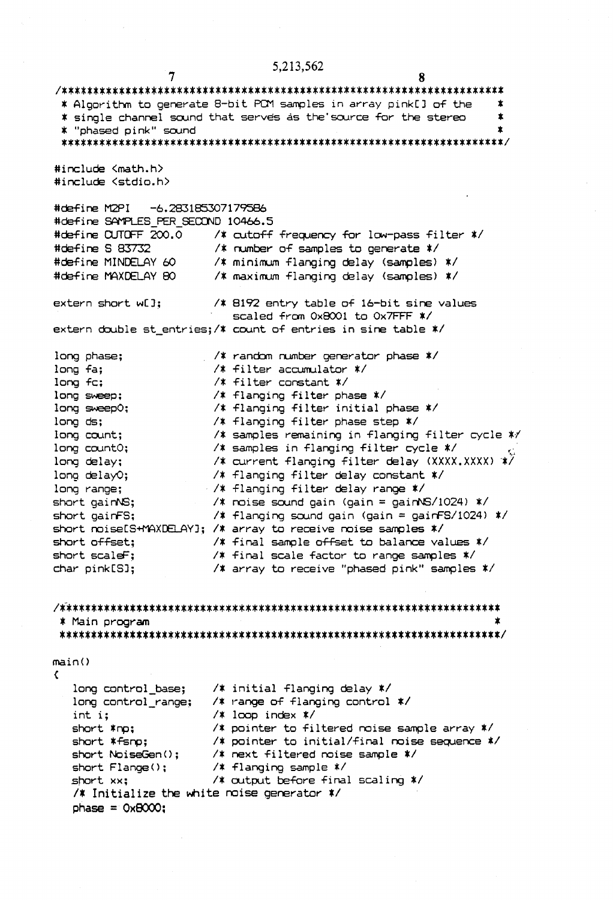```
5,213,562 8 
Axxxxxxxx xxxx)}{x : X XXXXXXX:23:83.xxxx xxxxxxxic: 
 * Algorithm to generate 8-bit PCM samples in array pink[] of the *<br>* single channel squod that serves as the squore for the stereo *\frac{1}{2} single channel sound that serves as the source for the stereo \frac{1}{2}<br>inhased pink" sound
 phased pink" sound 
 Exxxxxxxx-xk-KKXX-XXXX XXXXXXXXXX XXXX XXX XXXXXXXXxxxx. Kikikkk / 
#include <math.h>
#include <stdio.h>
#define M2PI -6.283185307179586
#define SAMPLES PER SECOND 10466.5 
de Fine CUTOFF 20O.O 
                            /\ast cutoff frequency for low-pass filter \ast/\cdottie-Fine S 87.32 
                            /* number of samples to generate */
de Fine MINDELAY 60 
                            /k 
minimum Flanging delay (samples) k/ 
ide Fine MAXDELAY 8O 
                            /* maximum flanging delay (samples) */
extern short w[]:
                            Mk 
8172 entry table of 16-bit sine values 
                              scaled from 0x8001 to 0x7FFF */
extern double st_entries;/* count of entries in sine table */
long 
phase; 
                            / 
random number generator phase k/ 
long 
fa; 
                            Mk 
-Filter accumulator k/ 
long 
Fc; 
                            /* filter constant */
long 
Sweep; 
                            /* flanging filter phase */
long 
sweepO; 
                            /* flanging filter initial phase */
long ds;
                            /* flanging filter phase step */
long 
Count; 
                            /* samples remaining in flanging filter cycle */"
                          /* samples in flanging filter cycle */
long count0;
                            /k 
samples in flanging filter cycle k/ . current Flanging Filter delay (XXXX. XXXX) / 
long 
delay; 
long 
delayO; 
                           Ax 
Flanging filter delay Constant k/ 
long 
range; 
                          \cdot /* flanging filter delay range */ \cdotshort gainMS; 
                            W. 
noise sound gain (gain = gainMS/1O24) k/ 
short gainfS; 
                            /* flanging sound gain (gain = gainfS/1024) */
short noise[S+MAXDELAY]; /* array to receive noise samples */
short offset: 
                            /* final sample offset to balance values */
short scalef; 
                            /k 
Final scale factor to range samples k/ 
char pink[S];
                            /* array to receive "phased pink" samples */
/k: Kekkokxxxx xxxxx xxxx xxxx xxxxx xxxxx xxxx xxxx xxx xxx xxxixkokkki 
 k Main program k 
 kxxxxxx xxxxx xxxxx xxxx xxxxxx xxxxxx xxxx xxxxxx, XXX XXXXXX/ 
main()\zetalong control base; 
                            Wik 
initial Flanging delay k/ 
   long control range; 
                           /* range of flanging control */
   int i;
                            /* loop index */
   short knp; 
                           /x 
pointer to filtered noise sample array 3 ?. 
   short *fsnp;
                            \sqrt* pointer to initial/final noise sequence \sqrt*short NoiseGen () ; 
                           Ax 
next Filtered noise sample k/ 
   short Flange () ; 
                            /* flanging sample */
   short xx; 
                           /* output before final scaling */
   /* Initialize the white noise generator */phase = 0x8000
```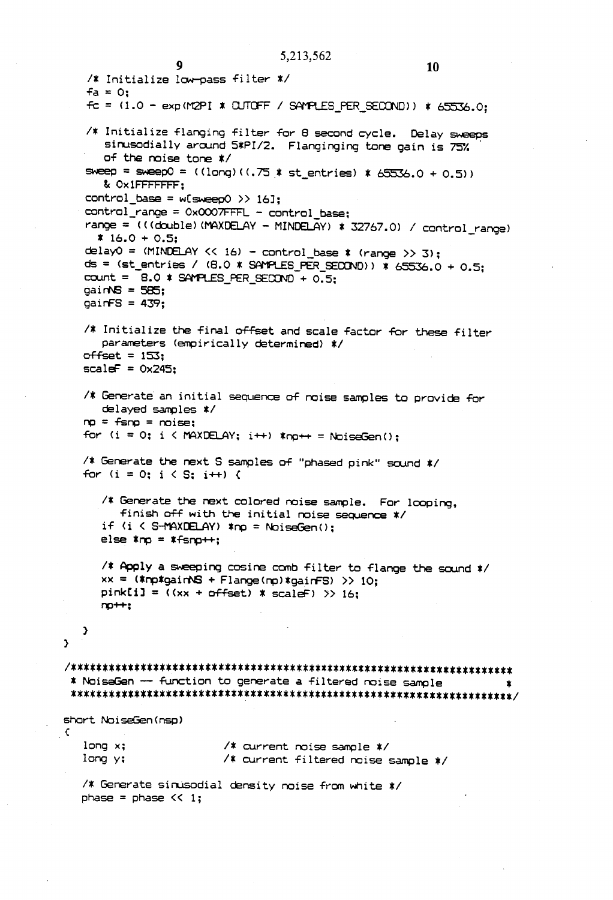```
\frac{5,215,502}{10}/. Initialize low-pass filter */ 
    fa = 0:
    fc = (1.0 - exp(M2PI * OUTGF / SATLES_FER_SECOND)) * 65536.0;/k. Initialize flanging filter for 8 second cycle. Delay sweeps sinusodially around 5KPI/2. Flanginging tone gain is 75% 
       Of the noise tone k/ 
    sweep = sweep0 = ((long)((.75 * st_entries) * 65536.0 + 0.5))
       & Ox1FFFFFFF; 
   control_base = wfsweep0 \gg 161;control_range = 0x0007FFFL - control base;range = ((\text{double})(\text{MAXDELAY} - \text{MINDELAY}) * 32767.0) / \text{control_range}) * 16.0 + 0.5:
   delayO = (MINDELAY << 16) - control_base * (range >> 3);
   ds = (st entries / (8.O SAMPLES PER SECOND)) x 65536. O + O.5; 
   count = 8.0 * SMTPLES_FER_SECOND + 0.5; gainNS = 585;gainFS = 439;/k. Initialize the Final offset and scale Factor for these Filter 
      parameters (empirically determined) k/ 
   offset = 153;scaleF = 0x245:/* Generate an initial sequence of noise samples to provide for
      delayed samples */
   np = f s np = noise;for (i = 0; i < \text{MAXDELAY}; i++) * np++ = \text{NoiseGen();}/k. Generate the next S samples of "phased pink" sound k/ 
   for (i = 0; i < S; i++)/* Generate the next colored noise sample. For looping, finish off with the initial noise sequence */if (i < S-MAXDELAY) *np = NoiseGen();else mp = *fsnp++;\sqrt{*} Apply a sweeping cosine comb filter to flange the sound \sqrt{*}xx = (*mp*gainNS + Flange (np) *gainFS) >> 10;
      pink[i] = ((xx + offset) * scaleF) \gg 16:np++} 
/xxx xxxx xxxx xxxkkkkikikikikkixx xxxx xxxxx xxxx xxxxx xxxx xxxx xxx xx 
 * NoiseGen - function to generate a filtered noise sample
 xxx xxx xxx xxxx xxxx xxx xxx xxxx xxxx xxx xxxx xxx xxxx xxx xxxx xxxx xxxx xxx xxxx/ 
short NoiseGen (nSp) 
   long x; \frac{1}{10} /* current noise sample */<br>long y; /* current filtered noise
                            \frac{1}{x} current filtered noise sample x//* Generate sinusodial density noise from white */phase = phase \leq 1:
```
}

 $\epsilon$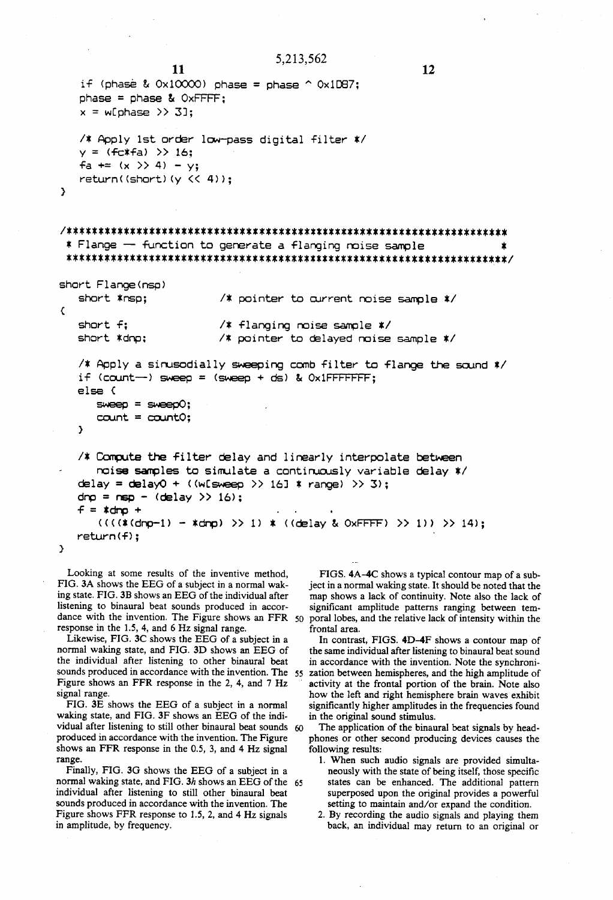```
if (phase & 0x10000) phase = phase \sim 0x1087;
   phase = phase & OxFFFF;
   x = wCphase >> 3];
   / Apply 1st Order low-pass digital filter k/ 
   y = (f c * f a) > 16;
   fa == (x > 4) - y;return((short)(y \leq 4));\mathcal{P}yxxxxx xxxx xxxx xxxx xxxx xxxxxx xxxx xxxxxiikiikiikki:kkkxxxx xxxxxx 
 * Flange - function to generate a flanging noise sample
 xxxxxx xxxx xxxx xxx xxxx xxxxxxx xxxx xxxx xxxx xxx xxxx xxx xxxx xxx xxxx xxxx/ 
short Flange (nsp) 
   short *nsp; \sqrt{*} pointer to current noise sample */
\zetashort f; \frac{1}{2} /* flanging noise sample */
   short *dnp: /* pointer to delayed noise sample */
   \sqrt{*} Apply a sinusodially sweeping comb filter to flange the sound \sqrt{*}if (count-) sweep = (sweep + ds) & 0x1FFFFFFF;
   else C 
      sweep = sweep0;
      count = count;
   \overline{\phantom{a}}\sqrt{*} Compute the filter delay and linearly interpolate between
      noise samples to simulate a continuously variable delay */delay = delay0 + ((w[sweep >> 16] * range) >> 3);
   dnp = nsp - (delay >> 16);
   f = xdro +
      ( ( ( (k (drp-1) - kidnp) >> 1) x ( (delay & OxFFFF) >> 1) ) >> 14); 
   return (F) ; 
\mathcal{Y}
```
Looking at some results of the inventive method, FIGS. 4A-4C shows a typical contour map of a sub-<br>FIG. 3A shows the EEG of a subject in a normal wak-<br>iect in a normal waking state. It should be noted that the FIG. 3A shows the EEG of a subject in a normal wak-<br>ing state. It should be noted that the<br>ing state. FIG. 3B shows an EEG of the individual after map shows a lack of continuity. Note also the lack of ing state. FIG. 3B shows an EEG of the individual after map shows a lack of continuity. Note also the lack of listening to binaural beat sounds produced in accor-<br>significant amplitude patterns ranging between temdance with the invention. The Figure shows an FFR  $50$  poral lobes, response in the 1.5, 4, and 6 Hz signal range. frontal area. response in the 1.5, 4, and 6 Hz signal range.<br>Likewise, FIG. 3C shows the EEG of a subject in a

Likewise, FIG. 3C shows the EEG of a subject in a In contrast, FIGS. 4D-4F shows a contour map of normal waking state, and FIG. 3D shows an EEG of the same individual after listening to binaural beat sound normal waking state, and FIG. 3D shows an EEG of the same individual after listening to binaural beat sound the individual after listening to other binaural beat in accordance with the invention. Note the synchronithe individual after listening to our binary sounds produced in accordance with the invention. The synchronic sounds produced in accordance with the invention. The synchronic state in the 2, 4, and 7 Hz activity at the fro Figure shows an FFR response in the 2, 4, and 7 Hz activity at the frontal portion of the brain. Note also signal range.<br>
how the left and right hemisphere brain waves exhibit

waking state, and FIG. 3F shows an EEG of the individual after listening to still other binaural beat sounds  $60$ vidual after listening to still other binaural beat sounds 60 The application of the binaural beat signals by head-<br>produced in accordance with the invention. The Figure phones or other second producing devices causes the shows an FFR response in the 0.5, 3, and  $4$  Hz signal range.

Finally, FIG. 3G shows the EEG of a subject in a neously with the state of being itself, those specific normal waking state, and FIG. 3h shows an EEG of the 65 states can be enhanced. The additional pattern individual after listening to still other binaural beat superposed upon the original provides a powerful sounds produced in accordance with the invention. The setting to maintain and/or expand the condition. sounds produced in accordance with the invention. The setting to maintain and/or expand the condition.<br>Figure shows FFR response to 1.5, 2, and 4 Hz signals 2. By recording the audio signals and playing them Figure shows FFR response to 1.5, 2, and 4 Hz signals in amplitude, by frequency.

significant amplitude patterns ranging between temporal lobes, and the relative lack of intensity within the

steps and range.<br>FIG. 3E shows the EEG of a subject in a normal significantly higher amplitudes in the frequencies found significantly higher amplitudes in the frequencies found<br>in the original sound stimulus.

phones or other second producing devices causes the following results:

- nge.<br>
1. When such audio signals are provided simulta-<br>
Finally, FIG. 3G shows the EEG of a subject in a neously with the state of being itself, those specific
	- back, an individual may return to an original or